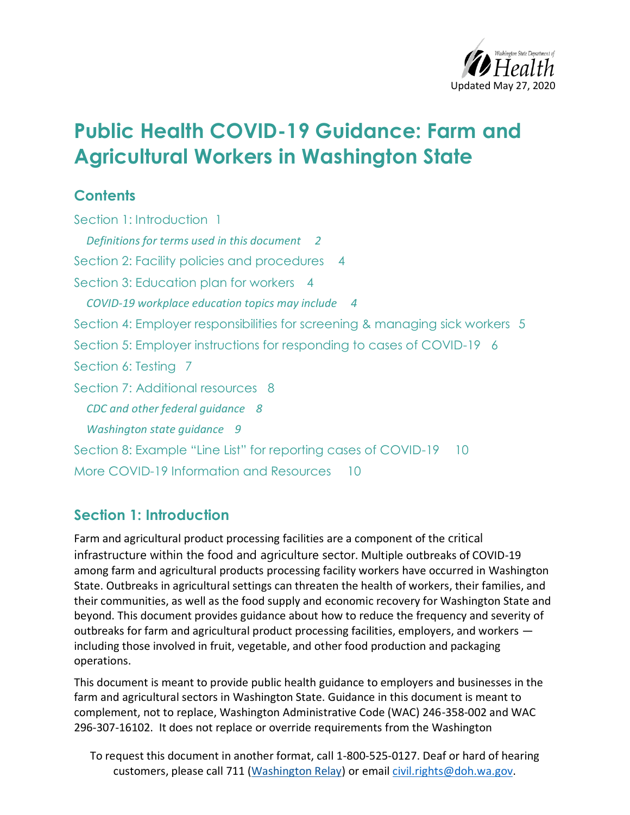

# **Public Health COVID-19 Guidance: Farm and Agricultural Workers in Washington State**

### **Contents**

[Section 1: Introduction 1](#page-0-0) *[Definitions for terms used in this document 2](#page-1-0)* [Section 2: Facility policies and procedures 4](#page-3-0) [Section 3: Education plan for workers 4](#page-3-1) *[COVID-19 workplace education topics may include 4](#page-3-2)* [Section 4: Employer responsibilities for screening & managing sick workers 5](#page-4-0) Section 5: Employer instructions for [responding to cases of COVID-19 6](#page-5-0) [Section 6: Testing](#page-6-0) 7 [Section 7: Additional resources 8](#page-7-0) *[CDC and other federal guidance 8](#page-7-1) [Washington state guidance 9](#page-8-0)* [Section 8: Example "Line List" for reporting cases of COVID](#page-9-0)-19 10 [More COVID-19 Information and Resources 10](#page-9-1)

#### <span id="page-0-0"></span>**Section 1: Introduction**

Farm and agricultural product processing facilities are a component of the critical infrastructure within the food and agriculture sector. Multiple outbreaks of COVID-19 among farm and agricultural products processing facility workers have occurred in Washington State. Outbreaks in agricultural settings can threaten the health of workers, their families, and their communities, as well as the food supply and economic recovery for Washington State and beyond. This document provides guidance about how to reduce the frequency and severity of outbreaks for farm and agricultural product processing facilities, employers, and workers including those involved in fruit, vegetable, and other food production and packaging operations.

This document is meant to provide public health guidance to employers and businesses in the farm and agricultural sectors in Washington State. Guidance in this document is meant to complement, not to replace, Washington Administrative Code (WAC) 246-358-002 and WAC 296-307-16102. It does not replace or override requirements from the Washington

To request this document in another format, call 1-800-525-0127. Deaf or hard of hearing customers, please call 711 (Washington Relay) or email [civil.rights@doh.wa.gov.](mailto:civil.rights@doh.wa.gov)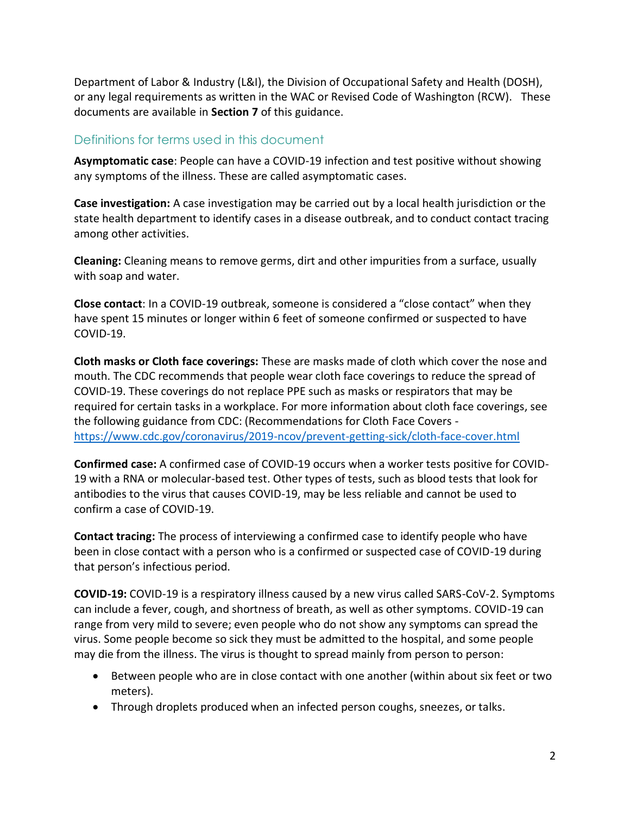Department of Labor & Industry (L&I), the Division of Occupational Safety and Health (DOSH), or any legal requirements as written in the WAC or Revised Code of Washington (RCW). These documents are available in **Section 7** of this guidance.

#### <span id="page-1-0"></span>Definitions for terms used in this document

**Asymptomatic case**: People can have a COVID-19 infection and test positive without showing any symptoms of the illness. These are called asymptomatic cases.

**Case investigation:** A case investigation may be carried out by a local health jurisdiction or the state health department to identify cases in a disease outbreak, and to conduct contact tracing among other activities.

**Cleaning:** Cleaning means to remove germs, dirt and other impurities from a surface, usually with soap and water.

**Close contact**: In a COVID-19 outbreak, someone is considered a "close contact" when they have spent 15 minutes or longer within 6 feet of someone confirmed or suspected to have COVID-19.

**Cloth masks or Cloth face coverings:** These are masks made of cloth which cover the nose and mouth. The CDC recommends that people wear cloth face coverings to reduce the spread of COVID-19. These coverings do not replace PPE such as masks or respirators that may be required for certain tasks in a workplace. For more information about cloth face coverings, see the following guidance from CDC: (Recommendations for Cloth Face Covers <https://www.cdc.gov/coronavirus/2019-ncov/prevent-getting-sick/cloth-face-cover.html>

**Confirmed case:** A confirmed case of COVID-19 occurs when a worker tests positive for COVID-19 with a RNA or molecular-based test. Other types of tests, such as blood tests that look for antibodies to the virus that causes COVID-19, may be less reliable and cannot be used to confirm a case of COVID-19.

**Contact tracing:** The process of interviewing a confirmed case to identify people who have been in close contact with a person who is a confirmed or suspected case of COVID-19 during that person's infectious period.

**COVID-19:** COVID-19 is a respiratory illness caused by a new virus called SARS-CoV-2. Symptoms can include a fever, cough, and shortness of breath, as well as other symptoms. COVID-19 can range from very mild to severe; even people who do not show any symptoms can spread the virus. Some people become so sick they must be admitted to the hospital, and some people may die from the illness. The virus is thought to spread mainly from person to person:

- Between people who are in close contact with one another (within about six feet or two meters).
- Through droplets produced when an infected person coughs, sneezes, or talks.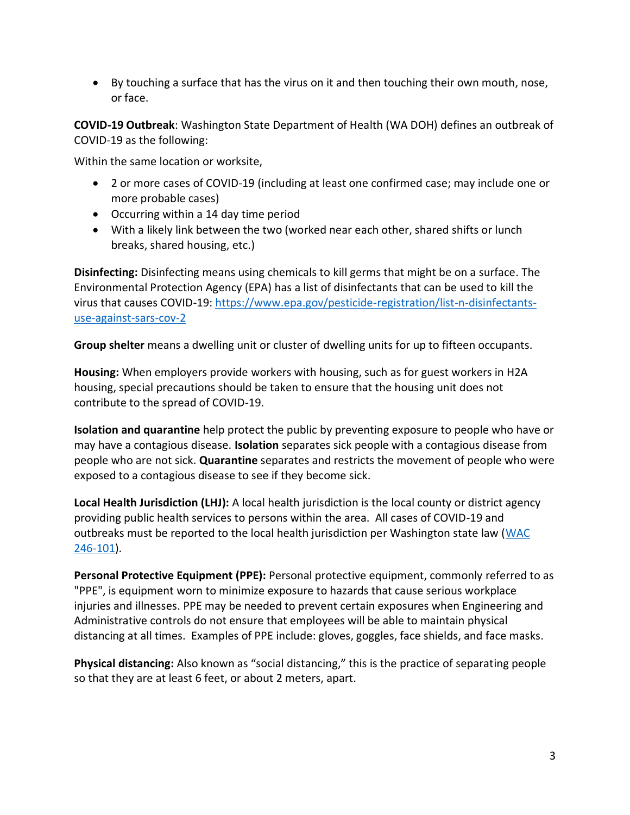By touching a surface that has the virus on it and then touching their own mouth, nose, or face.

**COVID-19 Outbreak**: Washington State Department of Health (WA DOH) defines an outbreak of COVID-19 as the following:

Within the same location or worksite,

- 2 or more cases of COVID-19 (including at least one confirmed case; may include one or more probable cases)
- Occurring within a 14 day time period
- With a likely link between the two (worked near each other, shared shifts or lunch breaks, shared housing, etc.)

**Disinfecting:** Disinfecting means using chemicals to kill germs that might be on a surface. The Environmental Protection Agency (EPA) has a list of disinfectants that can be used to kill the virus that causes COVID-19: [https://www.epa.gov/pesticide-registration/list-n-disinfectants](https://www.epa.gov/pesticide-registration/list-n-disinfectants-use-against-sars-cov-2)[use-against-sars-cov-2](https://www.epa.gov/pesticide-registration/list-n-disinfectants-use-against-sars-cov-2)

**Group shelter** means a dwelling unit or cluster of dwelling units for up to fifteen occupants.

**Housing:** When employers provide workers with housing, such as for guest workers in H2A housing, special precautions should be taken to ensure that the housing unit does not contribute to the spread of COVID-19.

**Isolation and quarantine** help protect the public by preventing exposure to people who have or may have a contagious disease. **Isolation** separates sick people with a contagious disease from people who are not sick. **Quarantine** separates and restricts the movement of people who were exposed to a contagious disease to see if they become sick.

**Local Health Jurisdiction (LHJ):** A local health jurisdiction is the local county or district agency providing public health services to persons within the area. All cases of COVID-19 and outbreaks must be reported to the local health jurisdiction per Washington state law [\(WAC](https://app.leg.wa.gov/wac/default.aspx?cite=246-101)  [246-101\)](https://app.leg.wa.gov/wac/default.aspx?cite=246-101).

**Personal Protective Equipment (PPE):** Personal protective equipment, commonly referred to as "PPE", is equipment worn to minimize exposure to hazards that cause serious workplace injuries and illnesses. PPE may be needed to prevent certain exposures when Engineering and Administrative controls do not ensure that employees will be able to maintain physical distancing at all times. Examples of PPE include: gloves, goggles, face shields, and face masks.

**Physical distancing:** Also known as "social distancing," this is the practice of separating people so that they are at least 6 feet, or about 2 meters, apart.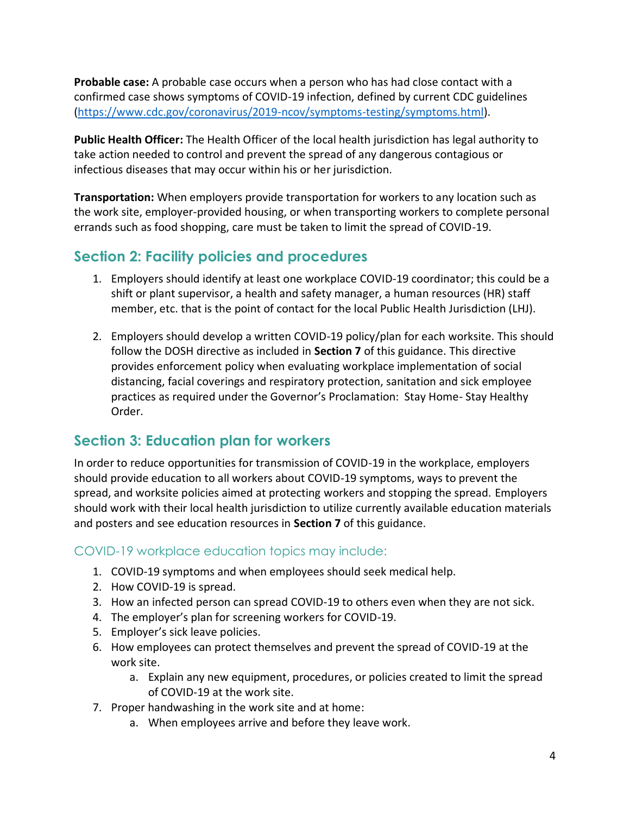**Probable case:** A probable case occurs when a person who has had close contact with a confirmed case shows symptoms of COVID-19 infection, defined by current CDC guidelines [\(https://www.cdc.gov/coronavirus/2019-ncov/symptoms-testing/symptoms.html\)](https://www.cdc.gov/coronavirus/2019-ncov/symptoms-testing/symptoms.html).

**Public Health Officer:** The Health Officer of the local health jurisdiction has legal authority to take action needed to control and prevent the spread of any dangerous contagious or infectious diseases that may occur within his or her jurisdiction.

**Transportation:** When employers provide transportation for workers to any location such as the work site, employer-provided housing, or when transporting workers to complete personal errands such as food shopping, care must be taken to limit the spread of COVID-19.

### <span id="page-3-0"></span>**Section 2: Facility policies and procedures**

- 1. Employers should identify at least one workplace COVID-19 coordinator; this could be a shift or plant supervisor, a health and safety manager, a human resources (HR) staff member, etc. that is the point of contact for the local Public Health Jurisdiction (LHJ).
- 2. Employers should develop a written COVID-19 policy/plan for each worksite. This should follow the DOSH directive as included in **Section 7** of this guidance. This directive provides enforcement policy when evaluating workplace implementation of social distancing, facial coverings and respiratory protection, sanitation and sick employee practices as required under the Governor's Proclamation: Stay Home- Stay Healthy Order.

## <span id="page-3-1"></span>**Section 3: Education plan for workers**

In order to reduce opportunities for transmission of COVID-19 in the workplace, employers should provide education to all workers about COVID-19 symptoms, ways to prevent the spread, and worksite policies aimed at protecting workers and stopping the spread. Employers should work with their local health jurisdiction to utilize currently available education materials and posters and see education resources in **Section 7** of this guidance.

#### <span id="page-3-2"></span>COVID-19 workplace education topics may include:

- 1. COVID-19 symptoms and when employees should seek medical help.
- 2. How COVID-19 is spread.
- 3. How an infected person can spread COVID-19 to others even when they are not sick.
- 4. The employer's plan for screening workers for COVID-19.
- 5. Employer's sick leave policies.
- 6. How employees can protect themselves and prevent the spread of COVID-19 at the work site.
	- a. Explain any new equipment, procedures, or policies created to limit the spread of COVID-19 at the work site.
- 7. Proper handwashing in the work site and at home:
	- a. When employees arrive and before they leave work.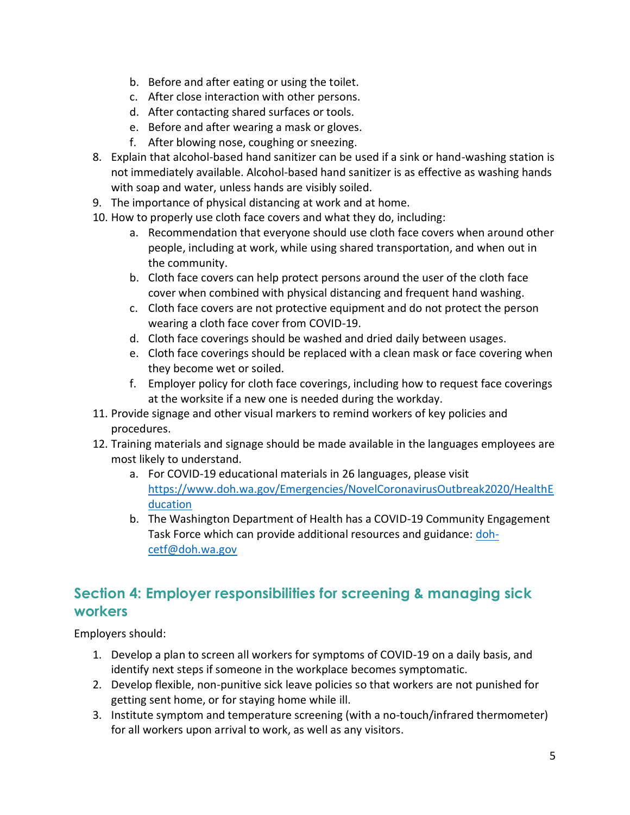- b. Before and after eating or using the toilet.
- c. After close interaction with other persons.
- d. After contacting shared surfaces or tools.
- e. Before and after wearing a mask or gloves.
- f. After blowing nose, coughing or sneezing.
- 8. Explain that alcohol-based hand sanitizer can be used if a sink or hand-washing station is not immediately available. Alcohol-based hand sanitizer is as effective as washing hands with soap and water, unless hands are visibly soiled.
- 9. The importance of physical distancing at work and at home.
- 10. How to properly use cloth face covers and what they do, including:
	- a. Recommendation that everyone should use cloth face covers when around other people, including at work, while using shared transportation, and when out in the community.
	- b. Cloth face covers can help protect persons around the user of the cloth face cover when combined with physical distancing and frequent hand washing.
	- c. Cloth face covers are not protective equipment and do not protect the person wearing a cloth face cover from COVID-19.
	- d. Cloth face coverings should be washed and dried daily between usages.
	- e. Cloth face coverings should be replaced with a clean mask or face covering when they become wet or soiled.
	- f. Employer policy for cloth face coverings, including how to request face coverings at the worksite if a new one is needed during the workday.
- 11. Provide signage and other visual markers to remind workers of key policies and procedures.
- 12. Training materials and signage should be made available in the languages employees are most likely to understand.
	- a. For COVID-19 educational materials in 26 languages, please visit [https://www.doh.wa.gov/Emergencies/NovelCoronavirusOutbreak2020/HealthE](https://www.doh.wa.gov/Emergencies/NovelCoronavirusOutbreak2020/HealthEducation) [ducation](https://www.doh.wa.gov/Emergencies/NovelCoronavirusOutbreak2020/HealthEducation)
	- b. The Washington Department of Health has a COVID-19 Community Engagement Task Force which can provide additional resources and guidance: [doh](mailto:doh-cetf@doh.wa.gov)[cetf@doh.wa.gov](mailto:doh-cetf@doh.wa.gov)

### <span id="page-4-0"></span>**Section 4: Employer responsibilities for screening & managing sick workers**

Employers should:

- 1. Develop a plan to screen all workers for symptoms of COVID-19 on a daily basis, and identify next steps if someone in the workplace becomes symptomatic.
- 2. Develop flexible, non-punitive sick leave policies so that workers are not punished for getting sent home, or for staying home while ill.
- 3. Institute symptom and temperature screening (with a no-touch/infrared thermometer) for all workers upon arrival to work, as well as any visitors.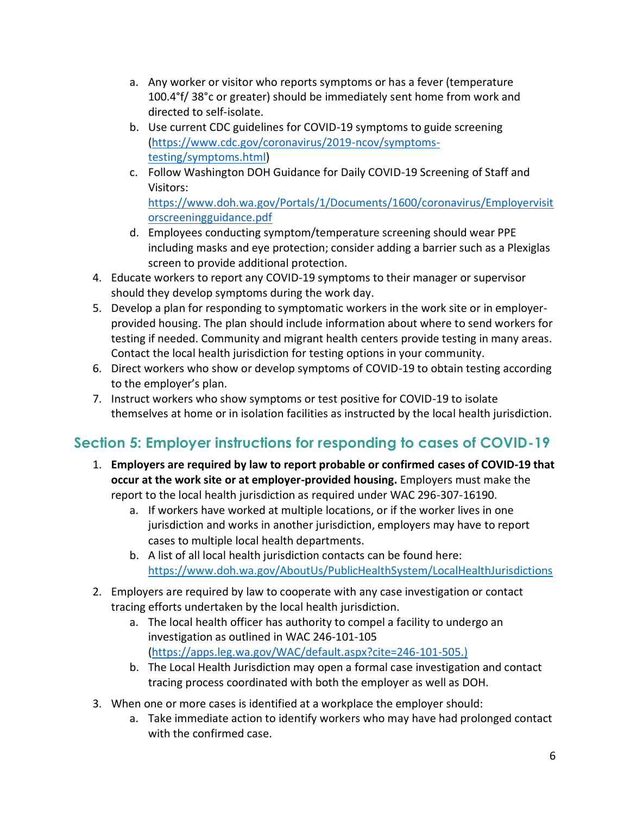- a. Any worker or visitor who reports symptoms or has a fever (temperature 100.4°f/ 38°c or greater) should be immediately sent home from work and directed to self-isolate.
- b. Use current CDC guidelines for COVID-19 symptoms to guide screening [\(https://www.cdc.gov/coronavirus/2019-ncov/symptoms](https://www.cdc.gov/coronavirus/2019-ncov/symptoms-testing/symptoms.html)[testing/symptoms.html\)](https://www.cdc.gov/coronavirus/2019-ncov/symptoms-testing/symptoms.html)
- c. Follow Washington DOH Guidance for Daily COVID-19 Screening of Staff and Visitors: [https://www.doh.wa.gov/Portals/1/Documents/1600/coronavirus/Employervisit](https://www.doh.wa.gov/Portals/1/Documents/1600/coronavirus/Employervisitorscreeningguidance.pdf) [orscreeningguidance.pdf](https://www.doh.wa.gov/Portals/1/Documents/1600/coronavirus/Employervisitorscreeningguidance.pdf)
- d. Employees conducting symptom/temperature screening should wear PPE including masks and eye protection; consider adding a barrier such as a Plexiglas screen to provide additional protection.
- 4. Educate workers to report any COVID-19 symptoms to their manager or supervisor should they develop symptoms during the work day.
- 5. Develop a plan for responding to symptomatic workers in the work site or in employerprovided housing. The plan should include information about where to send workers for testing if needed. Community and migrant health centers provide testing in many areas. Contact the local health jurisdiction for testing options in your community.
- 6. Direct workers who show or develop symptoms of COVID-19 to obtain testing according to the employer's plan.
- 7. Instruct workers who show symptoms or test positive for COVID-19 to isolate themselves at home or in isolation facilities as instructed by the local health jurisdiction.

# <span id="page-5-0"></span>**Section 5: Employer instructions for responding to cases of COVID-19**

- 1. **Employers are required by law to report probable or confirmed cases of COVID-19 that occur at the work site or at employer-provided housing.** Employers must make the report to the local health jurisdiction as required under WAC 296-307-16190.
	- a. If workers have worked at multiple locations, or if the worker lives in one jurisdiction and works in another jurisdiction, employers may have to report cases to multiple local health departments.
	- b. A list of all local health jurisdiction contacts can be found here: <https://www.doh.wa.gov/AboutUs/PublicHealthSystem/LocalHealthJurisdictions>
- 2. Employers are required by law to cooperate with any case investigation or contact tracing efforts undertaken by the local health jurisdiction.
	- a. The local health officer has authority to compel a facility to undergo an investigation as outlined in WAC 246-101-105 [\(https://apps.leg.wa.gov/WAC/default.aspx?cite=246-101-505.](https://apps.leg.wa.gov/WAC/default.aspx?cite=246-101-505))
	- b. The Local Health Jurisdiction may open a formal case investigation and contact tracing process coordinated with both the employer as well as DOH.
- 3. When one or more cases is identified at a workplace the employer should:
	- a. Take immediate action to identify workers who may have had prolonged contact with the confirmed case.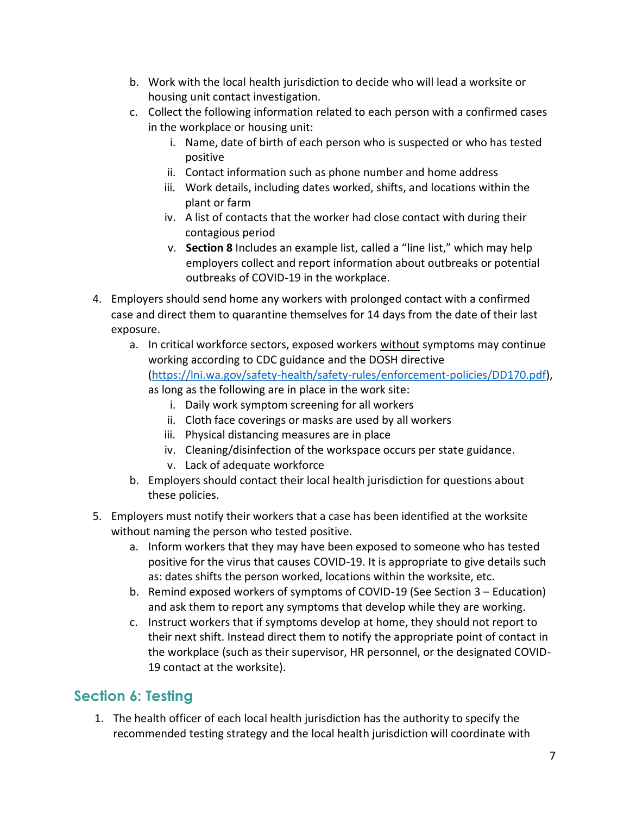- b. Work with the local health jurisdiction to decide who will lead a worksite or housing unit contact investigation.
- c. Collect the following information related to each person with a confirmed cases in the workplace or housing unit:
	- i. Name, date of birth of each person who is suspected or who has tested positive
	- ii. Contact information such as phone number and home address
	- iii. Work details, including dates worked, shifts, and locations within the plant or farm
	- iv. A list of contacts that the worker had close contact with during their contagious period
	- v. **Section 8** Includes an example list, called a "line list," which may help employers collect and report information about outbreaks or potential outbreaks of COVID-19 in the workplace.
- 4. Employers should send home any workers with prolonged contact with a confirmed case and direct them to quarantine themselves for 14 days from the date of their last exposure.
	- a. In critical workforce sectors, exposed workers without symptoms may continue working according to CDC guidance and the DOSH directive [\(https://lni.wa.gov/safety-health/safety-rules/enforcement-policies/DD170.pdf\)](https://lni.wa.gov/safety-health/safety-rules/enforcement-policies/DD170.pdf), as long as the following are in place in the work site:
		- i. Daily work symptom screening for all workers
		- ii. Cloth face coverings or masks are used by all workers
		- iii. Physical distancing measures are in place
		- iv. Cleaning/disinfection of the workspace occurs per state guidance.
		- v. Lack of adequate workforce
	- b. Employers should contact their local health jurisdiction for questions about these policies.
- 5. Employers must notify their workers that a case has been identified at the worksite without naming the person who tested positive.
	- a. Inform workers that they may have been exposed to someone who has tested positive for the virus that causes COVID-19. It is appropriate to give details such as: dates shifts the person worked, locations within the worksite, etc.
	- b. Remind exposed workers of symptoms of COVID-19 (See Section 3 Education) and ask them to report any symptoms that develop while they are working.
	- c. Instruct workers that if symptoms develop at home, they should not report to their next shift. Instead direct them to notify the appropriate point of contact in the workplace (such as their supervisor, HR personnel, or the designated COVID-19 contact at the worksite).

## <span id="page-6-0"></span>**Section 6: Testing**

1. The health officer of each local health jurisdiction has the authority to specify the recommended testing strategy and the local health jurisdiction will coordinate with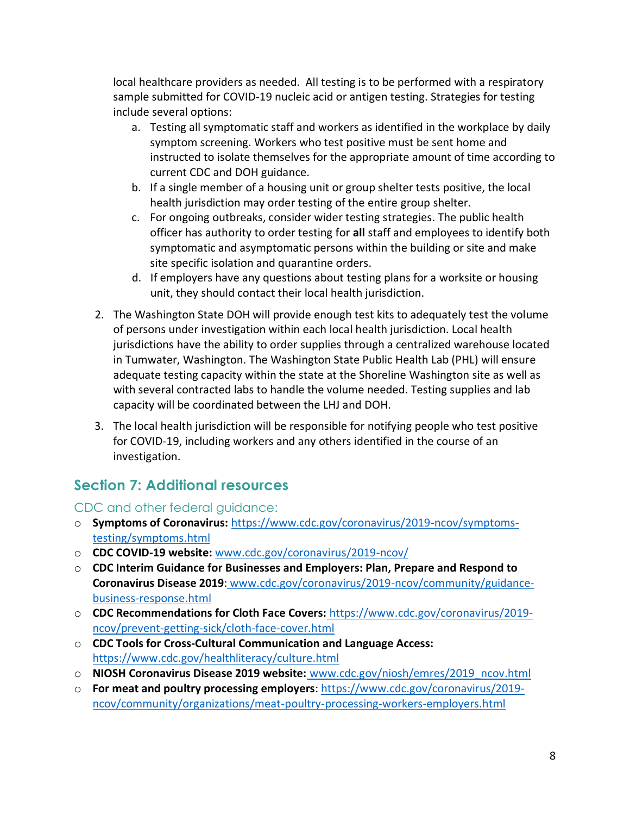local healthcare providers as needed. All testing is to be performed with a respiratory sample submitted for COVID-19 nucleic acid or antigen testing. Strategies for testing include several options:

- a. Testing all symptomatic staff and workers as identified in the workplace by daily symptom screening. Workers who test positive must be sent home and instructed to isolate themselves for the appropriate amount of time according to current CDC and DOH guidance.
- b. If a single member of a housing unit or group shelter tests positive, the local health jurisdiction may order testing of the entire group shelter.
- c. For ongoing outbreaks, consider wider testing strategies. The public health officer has authority to order testing for **all** staff and employees to identify both symptomatic and asymptomatic persons within the building or site and make site specific isolation and quarantine orders.
- d. If employers have any questions about testing plans for a worksite or housing unit, they should contact their local health jurisdiction.
- 2. The Washington State DOH will provide enough test kits to adequately test the volume of persons under investigation within each local health jurisdiction. Local health jurisdictions have the ability to order supplies through a centralized warehouse located in Tumwater, Washington. The Washington State Public Health Lab (PHL) will ensure adequate testing capacity within the state at the Shoreline Washington site as well as with several contracted labs to handle the volume needed. Testing supplies and lab capacity will be coordinated between the LHJ and DOH.
- 3. The local health jurisdiction will be responsible for notifying people who test positive for COVID-19, including workers and any others identified in the course of an investigation.

# <span id="page-7-0"></span>**Section 7: Additional resources**

<span id="page-7-1"></span>CDC and other federal guidance:

- o **Symptoms of Coronavirus:** [https://www.cdc.gov/coronavirus/2019-ncov/symptoms](https://www.cdc.gov/coronavirus/2019-ncov/symptoms-testing/symptoms.html)[testing/symptoms.html](https://www.cdc.gov/coronavirus/2019-ncov/symptoms-testing/symptoms.html)
- o **CDC COVID-19 website:** [www.cdc.gov/coronavirus/2019-ncov/](http://www.cdc.gov/coronavirus/2019-ncov/)
- o **CDC Interim Guidance for Businesses and Employers: Plan, Prepare and Respond to Coronavirus Disease 2019**: [www.cdc.gov/coronavirus/2019-ncov/community/guidance](http://www.cdc.gov/coronavirus/2019-ncov/community/guidance-business-response.html)[business-response.html](http://www.cdc.gov/coronavirus/2019-ncov/community/guidance-business-response.html)
- o **CDC Recommendations for Cloth Face Covers:** [https://www.cdc.gov/coronavirus/2019](https://www.cdc.gov/coronavirus/2019-ncov/prevent-getting-sick/cloth-face-cover.html) [ncov/prevent-getting-sick/cloth-face-cover.html](https://www.cdc.gov/coronavirus/2019-ncov/prevent-getting-sick/cloth-face-cover.html)
- o **CDC Tools for Cross-Cultural Communication and Language Access:** <https://www.cdc.gov/healthliteracy/culture.html>
- o **NIOSH Coronavirus Disease 2019 website:** [www.cdc.gov/niosh/emres/2019\\_ncov.html](http://www.cdc.gov/niosh/emres/2019_ncov.html)
- o **For meat and poultry processing employers**: [https://www.cdc.gov/coronavirus/2019](https://www.cdc.gov/coronavirus/2019-ncov/community/organizations/meat-poultry-processing-workers-employers.html) [ncov/community/organizations/meat-poultry-processing-workers-employers.html](https://www.cdc.gov/coronavirus/2019-ncov/community/organizations/meat-poultry-processing-workers-employers.html)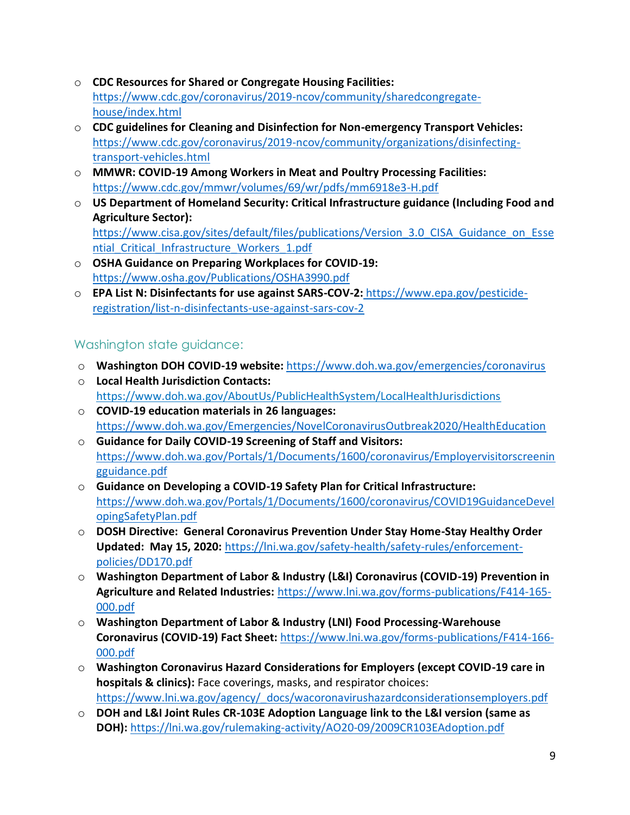- o **CDC Resources for Shared or Congregate Housing Facilities:** [https://www.cdc.gov/coronavirus/2019-ncov/community/sharedcongregate](https://www.cdc.gov/coronavirus/2019-ncov/community/sharedcongregate-house/index.html)[house/index.html](https://www.cdc.gov/coronavirus/2019-ncov/community/sharedcongregate-house/index.html)
- o **CDC guidelines for Cleaning and Disinfection for Non-emergency Transport Vehicles:**  [https://www.cdc.gov/coronavirus/2019-ncov/community/organizations/disinfecting](https://www.cdc.gov/coronavirus/2019-ncov/community/organizations/disinfecting-transport-vehicles.html)[transport-vehicles.html](https://www.cdc.gov/coronavirus/2019-ncov/community/organizations/disinfecting-transport-vehicles.html)
- o **MMWR: COVID-19 Among Workers in Meat and Poultry Processing Facilities:**  <https://www.cdc.gov/mmwr/volumes/69/wr/pdfs/mm6918e3-H.pdf>
- o **US Department of Homeland Security: Critical Infrastructure guidance (Including Food and Agriculture Sector):** [https://www.cisa.gov/sites/default/files/publications/Version\\_3.0\\_CISA\\_Guidance\\_on\\_Esse](https://www.cisa.gov/sites/default/files/publications/Version_3.0_CISA_Guidance_on_Essential_Critical_Infrastructure_Workers_1.pdf)

ntial Critical Infrastructure Workers 1.pdf

- o **OSHA Guidance on Preparing Workplaces for COVID-19:** <https://www.osha.gov/Publications/OSHA3990.pdf>
- o **EPA List N: Disinfectants for use against SARS-COV-2:** [https://www.epa.gov/pesticide](https://www.epa.gov/pesticide-registration/list-n-disinfectants-use-against-sars-cov-2)[registration/list-n-disinfectants-use-against-sars-cov-2](https://www.epa.gov/pesticide-registration/list-n-disinfectants-use-against-sars-cov-2)

#### <span id="page-8-0"></span>Washington state guidance:

- o **Washington DOH COVID-19 website:** <https://www.doh.wa.gov/emergencies/coronavirus>
- o **Local Health Jurisdiction Contacts:** <https://www.doh.wa.gov/AboutUs/PublicHealthSystem/LocalHealthJurisdictions>
- o **COVID-19 education materials in 26 languages:**  <https://www.doh.wa.gov/Emergencies/NovelCoronavirusOutbreak2020/HealthEducation>
- o **Guidance for Daily COVID-19 Screening of Staff and Visitors:** [https://www.doh.wa.gov/Portals/1/Documents/1600/coronavirus/Employervisitorscreenin](https://www.doh.wa.gov/Portals/1/Documents/1600/coronavirus/Employervisitorscreeningguidance.pdf) [gguidance.pdf](https://www.doh.wa.gov/Portals/1/Documents/1600/coronavirus/Employervisitorscreeningguidance.pdf)
- o **Guidance on Developing a COVID-19 Safety Plan for Critical Infrastructure:**  [https://www.doh.wa.gov/Portals/1/Documents/1600/coronavirus/COVID19GuidanceDevel](https://www.doh.wa.gov/Portals/1/Documents/1600/coronavirus/COVID19GuidanceDevelopingSafetyPlan.pdf) [opingSafetyPlan.pdf](https://www.doh.wa.gov/Portals/1/Documents/1600/coronavirus/COVID19GuidanceDevelopingSafetyPlan.pdf)
- o **DOSH Directive: General Coronavirus Prevention Under Stay Home-Stay Healthy Order Updated: May 15, 2020:** [https://lni.wa.gov/safety-health/safety-rules/enforcement](https://lni.wa.gov/safety-health/safety-rules/enforcement-policies/DD170.pdf)[policies/DD170.pdf](https://lni.wa.gov/safety-health/safety-rules/enforcement-policies/DD170.pdf)
- o **Washington Department of Labor & Industry (L&I) Coronavirus (COVID-19) Prevention in Agriculture and Related Industries:** [https://www.lni.wa.gov/forms-publications/F414-165-](https://www.lni.wa.gov/forms-publications/F414-165-000.pdf) [000.pdf](https://www.lni.wa.gov/forms-publications/F414-165-000.pdf)
- o **Washington Department of Labor & Industry (LNI) [Food Processing-Warehouse](https://www.lni.wa.gov/forms-publications/F414-166-000.pdf)  [Coronavirus \(COVID-19\) Fact Sheet:](https://www.lni.wa.gov/forms-publications/F414-166-000.pdf)** [https://www.lni.wa.gov/forms-publications/F414-166-](https://www.lni.wa.gov/forms-publications/F414-166-000.pdf) [000.pdf](https://www.lni.wa.gov/forms-publications/F414-166-000.pdf)
- o **[Washington Coronavirus Hazard Considerations for Employers \(except COVID-19 care in](https://www.lni.wa.gov/agency/_docs/wacoronavirushazardconsiderationsemployers.pdf)  [hospitals & clinics\):](https://www.lni.wa.gov/agency/_docs/wacoronavirushazardconsiderationsemployers.pdf)** Face coverings, masks, and respirator choices: [https://www.lni.wa.gov/agency/\\_docs/wacoronavirushazardconsiderationsemployers.pdf](https://www.lni.wa.gov/agency/_docs/wacoronavirushazardconsiderationsemployers.pdf)
- o **DOH and L&I Joint Rules [CR-103E Adoption Language](https://lni.wa.gov/rulemaking-activity/AO20-09/2009CR103EAdoption.pdf) link to the L&I version (same as DOH):** <https://lni.wa.gov/rulemaking-activity/AO20-09/2009CR103EAdoption.pdf>